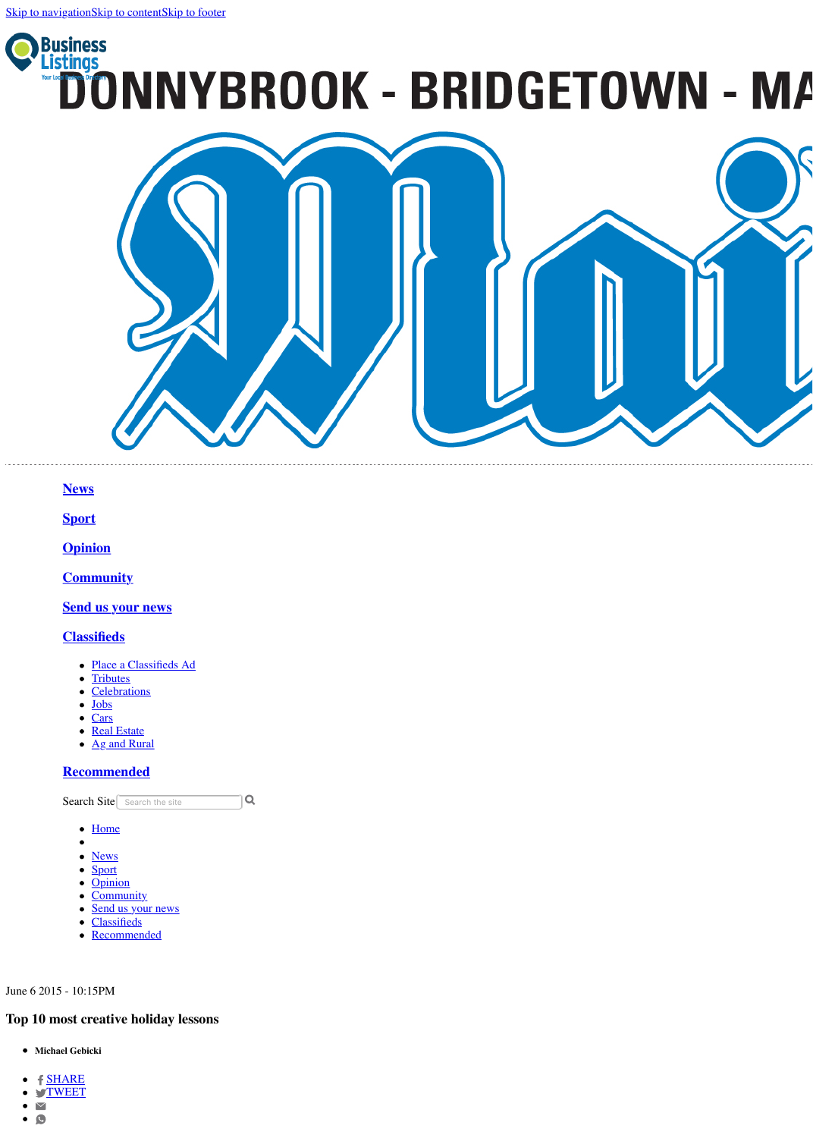

<span id="page-0-0"></span>**[News](https://www.donnybrookmail.com.au/news/)**

- [Place a Classifieds Ad](https://advertisers.com.au/?pub=DBK)
- [Tributes](http://tributes.donnybrookmail.com.au/obituaries/donnybrookmail-au/)
- [Celebrations](http://www.legacy.com/celebration/donnybrookmail-au/)
- **[Jobs](https://www.donnybrookmail.com.au/jobs/)**  $\bullet$
- [Cars](http://www.countrycars.com.au/)
- [Real Estate](https://www.domain.com.au/sale/donnybrook-wa-6239/)
- [Ag and Rural](https://www.agtrader.com.au/search/wa--southern?utm_source=donnybrookbridgetownmail.com.au&utm_medium=classifieds&utm_campaign=regionals)

**[Sport](https://www.donnybrookmail.com.au/sport/)**

**[Opinion](https://www.donnybrookmail.com.au/opinion/)**

**[Community](https://www.donnybrookmail.com.au/community/)**

**[Send us your news](https://www.donnybrookmail.com.au/community/forms/)**

**[Classifieds](https://www.donnybrookmail.com.au/classifieds/notices/)**

- **Michael Gebicki**
- $\bullet$   $f$  [SHARE](https://www.facebook.com/sharer/sharer.php?u=http://www.donnybrookmail.com.au/story/3127752/top-10-most-creative-holiday-lessons/)
- **.** S[TWEET](http://twitter.com/share?url=http://www.donnybrookmail.com.au/story/3127752/top-10-most-creative-holiday-lessons/&text=Top%2010%20most%20creative%20holiday%20lessons&via=DonnybrookMail)
- $\bullet$   $\blacktriangleright$
- $\bullet$  0

# **[Recommended](https://www.donnybrookmail.com.au/recommended/)**

19 Search Site Search the site

- [Home](https://www.donnybrookmail.com.au/)
- 
- **[News](https://www.donnybrookmail.com.au/news/)**  $\bullet$
- [Sport](https://www.donnybrookmail.com.au/sport/)
- [Opinion](https://www.donnybrookmail.com.au/opinion/)
- [Community](https://www.donnybrookmail.com.au/community/)
- [Send us your news](https://www.donnybrookmail.com.au/community/forms/)
- [Classifieds](https://www.donnybrookmail.com.au/classifieds/notices/)
- [Recommended](https://www.donnybrookmail.com.au/recommended/)

June 6 2015 - 10:15PM

# **Top 10 most creative holiday lessons**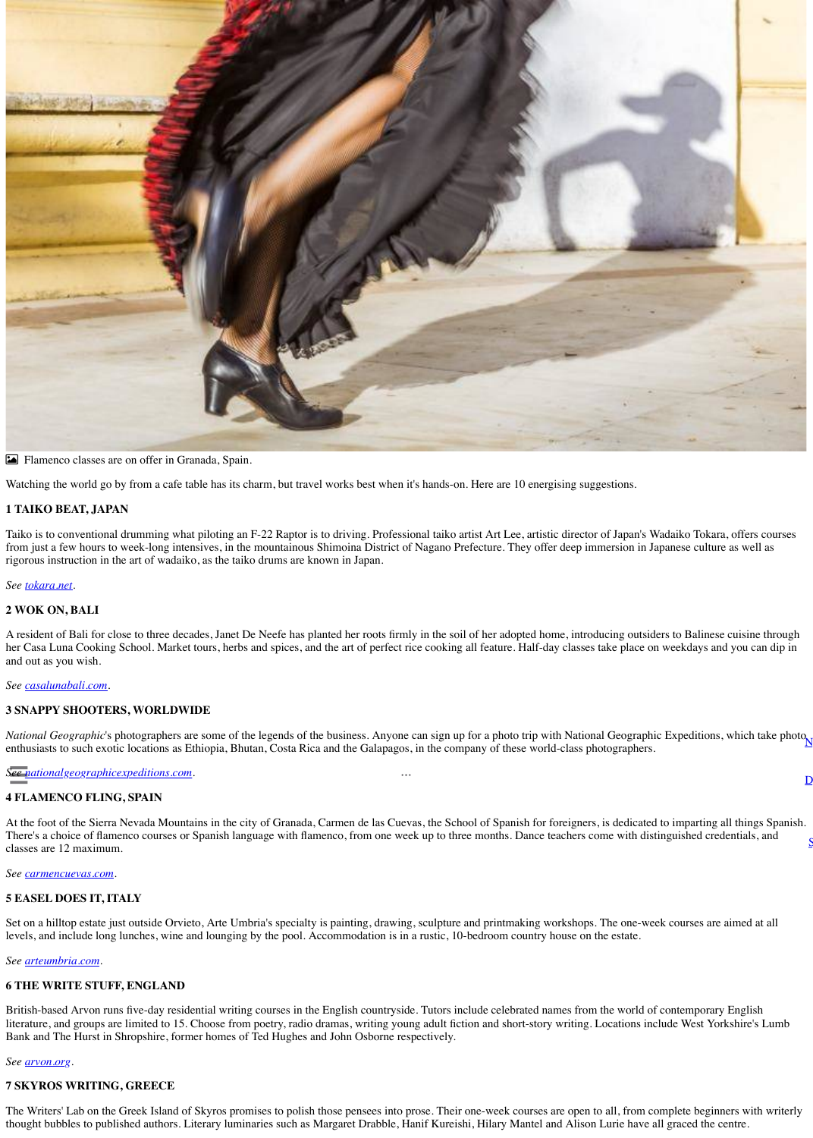

! Flamenco classes are on offer in Granada, Spain.

Watching the world go by from a cafe table has its charm, but travel works best when it's hands-on. Here are 10 energising suggestions.

### **1 TAIKO BEAT, JAPAN**

Taiko is to conventional drumming what piloting an F-22 Raptor is to driving. Professional taiko artist Art Lee, artistic director of Japan's Wadaiko Tokara, offers courses from just a few hours to week-long intensives, in the mountainous Shimoina District of Nagano Prefecture. They offer deep immersion in Japanese culture as well as rigorous instruction in the art of wadaiko, as the taiko drums are known in Japan.

*National Geographic*'s photographers are some of the legends of the business. Anyone can sign up for a photo trip with National Geographic Expeditions, which take photo enthusiasts to such exotic locations as Ethiopia, Bhutan, Costa Rica and the Galapagos, in the company of these world-class photographers.  $\overline{\mathsf{N}}$  $\overline{\mathsf{N}}$  $\overline{\mathsf{N}}$ 

 $\bullet\bullet\bullet$ 

 $\overline{\mathsf{D}}$  $\overline{\mathsf{D}}$  $\overline{\mathsf{D}}$ 

#### *See [tokara.net.](http://tokara.net/)*

#### **2 WOK ON, BALI**

At the foot of the Sierra Nevada Mountains in the city of Granada, Carmen de las Cuevas, the School of Spanish for foreigners, is dedicated to imparting all things Spanish. There's a choice of flamenco courses or Spanish language with flamenco, from one week up to three months. Dance teachers come with distinguished credentials, and classes are 12 maximum. <u>[S](https://www.donnybrookmail.com.au/weather/)</u>

A resident of Bali for close to three decades, Janet De Neefe has planted her roots firmly in the soil of her adopted home, introducing outsiders to Balinese cuisine through her Casa Luna Cooking School. Market tours, herbs and spices, and the art of perfect rice cooking all feature. Half-day classes take place on weekdays and you can dip in

and out as you wish.

*See [casalunabali.com.](http://casalunabali.com/)*

# **3 SNAPPY SHOOTERS, WORLDWIDE**

*See [nationalgeographicexpeditions.com.](http://nationalgeographicexpeditions.com/)*

# **4 FLAMENCO FLING, SPAIN**

*See [carmencuevas.com](http://carmencuevas.com/).*

# **5 EASEL DOES IT, ITALY**

Set on a hilltop estate just outside Orvieto, Arte Umbria's specialty is painting, drawing, sculpture and printmaking workshops. The one-week courses are aimed at all levels, and include long lunches, wine and lounging by the pool. Accommodation is in a rustic, 10-bedroom country house on the estate.

*See [arteumbria.com.](http://arteumbria.com/)*

# **6 THE WRITE STUFF, ENGLAND**

British-based Arvon runs five-day residential writing courses in the English countryside. Tutors include celebrated names from the world of contemporary English literature, and groups are limited to 15. Choose from poetry, radio dramas, writing young adult fiction and short-story writing. Locations include West Yorkshire's Lumb Bank and The Hurst in Shropshire, former homes of Ted Hughes and John Osborne respectively.

*See [arvon.org](http://arvon.org/).*

## **7 SKYROS WRITING, GREECE**

The Writers' Lab on the Greek Island of Skyros promises to polish those pensees into prose. Their one-week courses are open to all, from complete beginners with writerly thought bubbles to published authors. Literary luminaries such as Margaret Drabble, Hanif Kureishi, Hilary Mantel and Alison Lurie have all graced the centre.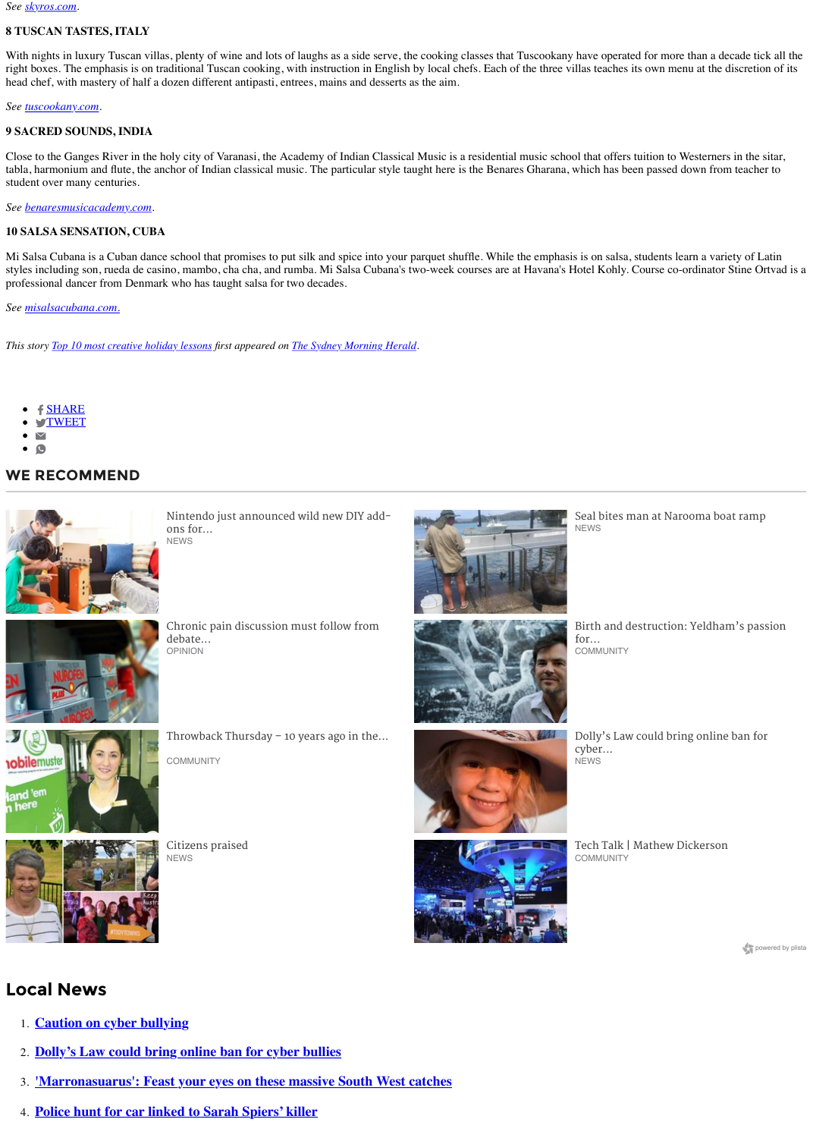*See [skyros.com](http://skyros.com/).*

## **8 TUSCAN TASTES, ITALY**

With nights in luxury Tuscan villas, plenty of wine and lots of laughs as a side serve, the cooking classes that Tuscookany have operated for more than a decade tick all the right boxes. The emphasis is on traditional Tuscan cooking, with instruction in English by local chefs. Each of the three villas teaches its own menu at the discretion of its head chef, with mastery of half a dozen different antipasti, entrees, mains and desserts as the aim.

*See [tuscookany.com.](http://tuscookany.com/)*

### **9 SACRED SOUNDS, INDIA**

Close to the Ganges River in the holy city of Varanasi, the Academy of Indian Classical Music is a residential music school that offers tuition to Westerners in the sitar, tabla, harmonium and flute, the anchor of Indian classical music. The particular style taught here is the Benares Gharana, which has been passed down from teacher to student over many centuries.

- [SHARE](https://www.facebook.com/sharer/sharer.php?u=http://www.donnybrookmail.com.au/story/3127752/top-10-most-creative-holiday-lessons/)
- **S[TWEET](http://twitter.com/share?url=http://www.donnybrookmail.com.au/story/3127752/top-10-most-creative-holiday-lessons/&text=Top%2010%20most%20creative%20holiday%20lessons&via=DonnybrookMail)**
- $\blacktriangledown$
- $\bullet$

[Nintendo just announced wild new DIY add](http://www.donnybrookmail.com.au/story/5175000/nintendo-just-announced-wild-new-diy-add-ons-for-the-switch/?cs=1445)ons for... **NEWS** 



[Seal bites man at Narooma boat ramp](http://www.donnybrookmail.com.au/story/5212792/seal-bites-man-at-narooma-boat-ramp/?cs=1445) **NEWS** 



*See [benaresmusicacademy.com](http://benaresmusicacademy.com/).*

[Birth and destruction: Yeldham's passion](http://www.donnybrookmail.com.au/story/5171959/birth-and-destruction-yeldhams-passion-for-nature-and-art/?cs=941) for... **COMMUNITY** 

#### **10 SALSA SENSATION, CUBA**



[Citizens praised](http://www.donnybrookmail.com.au/story/5179259/citizens-praised/?cs=1445) **NEWS** 



[Tech Talk | Mathew Dickerson](http://www.donnybrookmail.com.au/story/5163506/tech-talk-mathew-dickerson/?cs=941) **COMMUNITY** 

powered by plista

Mi Salsa Cubana is a Cuban dance school that promises to put silk and spice into your parquet shuffle. While the emphasis is on salsa, students learn a variety of Latin styles including son, rueda de casino, mambo, cha cha, and rumba. Mi Salsa Cubana's two-week courses are at Havana's Hotel Kohly. Course co-ordinator Stine Ortvad is a professional dancer from Denmark who has taught salsa for two decades.

*See [misalsacubana.com.](http://misalsacubana.com./)*

*This story [Top 10 most creative holiday lessons](http://www.smh.com.au/travel/top-10-most-creative-holiday-lessons-20150601-gh6brb.html) first appeared on [The Sydney Morning Herald](http://www.smh.com.au/).*

# **Local News**

- 1. **[Caution on cyber bullying](https://www.donnybrookmail.com.au/story/5210439/caution-on-cyber-bullying/?cs=1445)**
- 2. **[Dolly's Law could bring online ban for cyber bullies](https://www.donnybrookmail.com.au/story/5206760/dollys-law-could-bring-online-ban-for-cyber-bullies/?cs=1445)**
- 3. **['Marronasuarus': Feast your eyes on these massive South West catches](https://www.donnybrookmail.com.au/story/5203010/marronasuarus-feast-your-eyes-on-these-massive-south-west-catches/?cs=1445)**
- 4. **[Police hunt for car linked to Sarah Spiers' killer](https://www.donnybrookmail.com.au/story/5202523/police-hunt-for-car-linked-to-sarah-spiers-killer/?cs=1445)**

# **WE RECOMMEND**



[Chronic pain discussion must follow from](http://www.donnybrookmail.com.au/story/5203413/chronic-pain-discussion-must-follow-from-debate-about-codeine/?cs=1949) debate... OPINION





[Dolly's Law could bring online ban for](http://www.donnybrookmail.com.au/story/5206760/dollys-law-could-bring-online-ban-for-cyber-bullies/?cs=1445) cyber... NEWS